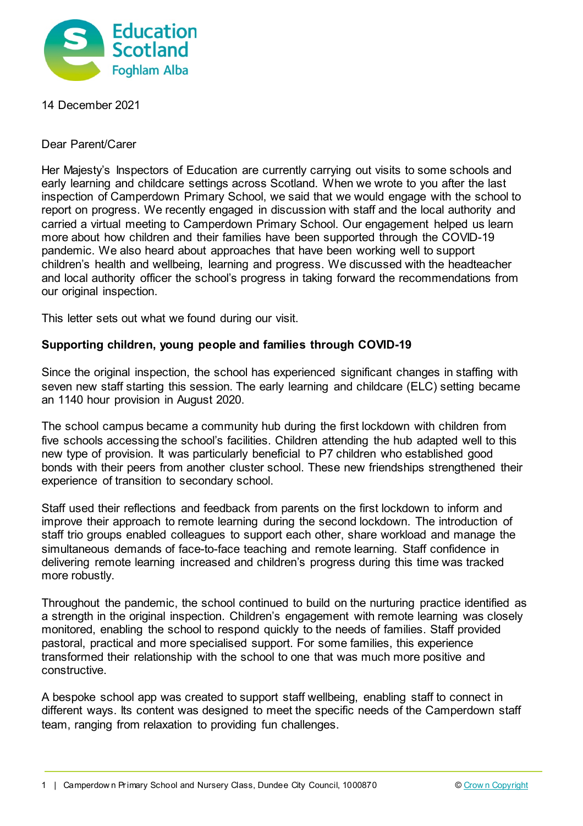

14 December 2021

Dear Parent/Carer

Her Majesty's Inspectors of Education are currently carrying out visits to some schools and early learning and childcare settings across Scotland. When we wrote to you after the last inspection of Camperdown Primary School, we said that we would engage with the school to report on progress. We recently engaged in discussion with staff and the local authority and carried a virtual meeting to Camperdown Primary School. Our engagement helped us learn more about how children and their families have been supported through the COVID-19 pandemic. We also heard about approaches that have been working well to support children's health and wellbeing, learning and progress. We discussed with the headteacher and local authority officer the school's progress in taking forward the recommendations from our original inspection.

This letter sets out what we found during our visit.

## **Supporting children, young people and families through COVID-19**

Since the original inspection, the school has experienced significant changes in staffing with seven new staff starting this session. The early learning and childcare (ELC) setting became an 1140 hour provision in August 2020.

The school campus became a community hub during the first lockdown with children from five schools accessing the school's facilities. Children attending the hub adapted well to this new type of provision. It was particularly beneficial to P7 children who established good bonds with their peers from another cluster school. These new friendships strengthened their experience of transition to secondary school.

Staff used their reflections and feedback from parents on the first lockdown to inform and improve their approach to remote learning during the second lockdown. The introduction of staff trio groups enabled colleagues to support each other, share workload and manage the simultaneous demands of face-to-face teaching and remote learning. Staff confidence in delivering remote learning increased and children's progress during this time was tracked more robustly.

Throughout the pandemic, the school continued to build on the nurturing practice identified as a strength in the original inspection. Children's engagement with remote learning was closely monitored, enabling the school to respond quickly to the needs of families. Staff provided pastoral, practical and more specialised support. For some families, this experience transformed their relationship with the school to one that was much more positive and constructive.

A bespoke school app was created to support staff wellbeing, enabling staff to connect in different ways. Its content was designed to meet the specific needs of the Camperdown staff team, ranging from relaxation to providing fun challenges.